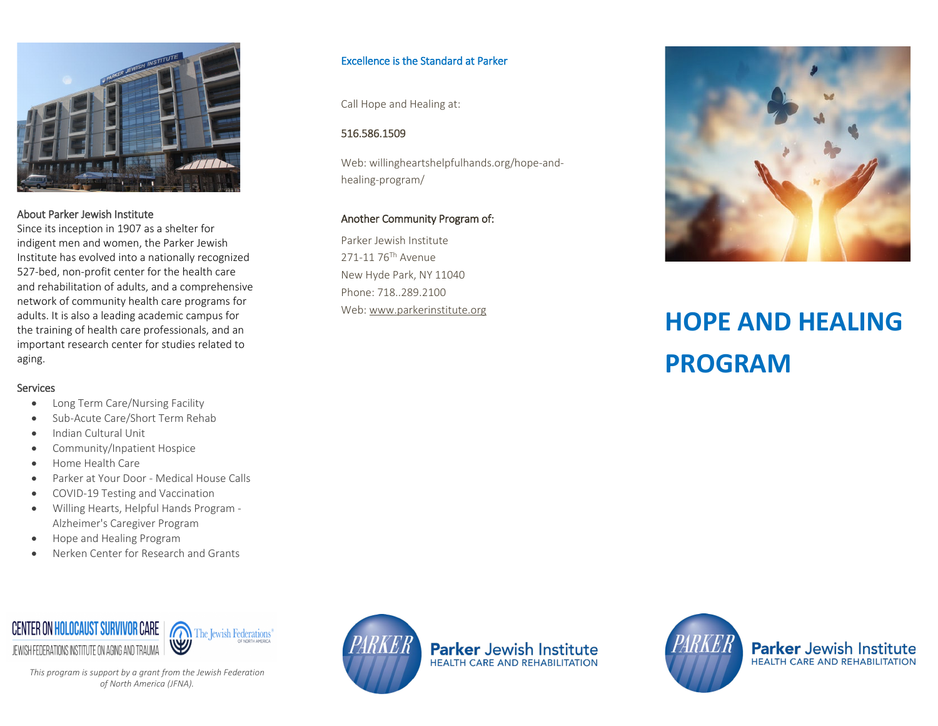

### About Parker Jewish Institute

Since its inception in 1907 as a shelter for indigent men and women, the Parker Jewish Institute has evolved into a nationally recognized 527-bed, non-profit center for the health care and rehabilitation of adults, and a comprehensive network of community health care programs for adults. It is also a leading academic campus for the training of health care professionals, and an important research center for studies related to aging.

## Services

- Long Term Care/Nursing Facility
- Sub-Acute Care/Short Term Rehab
- Indian Cultural Unit
- Community/Inpatient Hospice
- Home Health Care
- Parker at Your Door Medical House Calls
- COVID-19 Testing and Vaccination
- Willing Hearts, Helpful Hands Program Alzheimer's Caregiver Program
- Hope and Healing Program
- Nerken Center for Research and Grants



*This program is support by a grant from the Jewish Federation of North America (JFNA).*



**Parker** Jewish Institute **HEALTH CARE AND REHABILITATION** 



**Parker** Jewish Institute **HEALTH CARE AND REHABILITATION** 

# Excellence is the Standard at Parker

Call Hope and Healing at:

## 516.586.1509

Web: willingheartshelpfulhands.org/hope-andhealing-program/

## Another Community Program of:

Parker Jewish Institute 271-11 76Th Avenue New Hyde Park, NY 11040 Phone: 718..289.2100



# Web: <u>www.parkerinstitute.org</u> **HOPE AND HEALING PROGRAM**